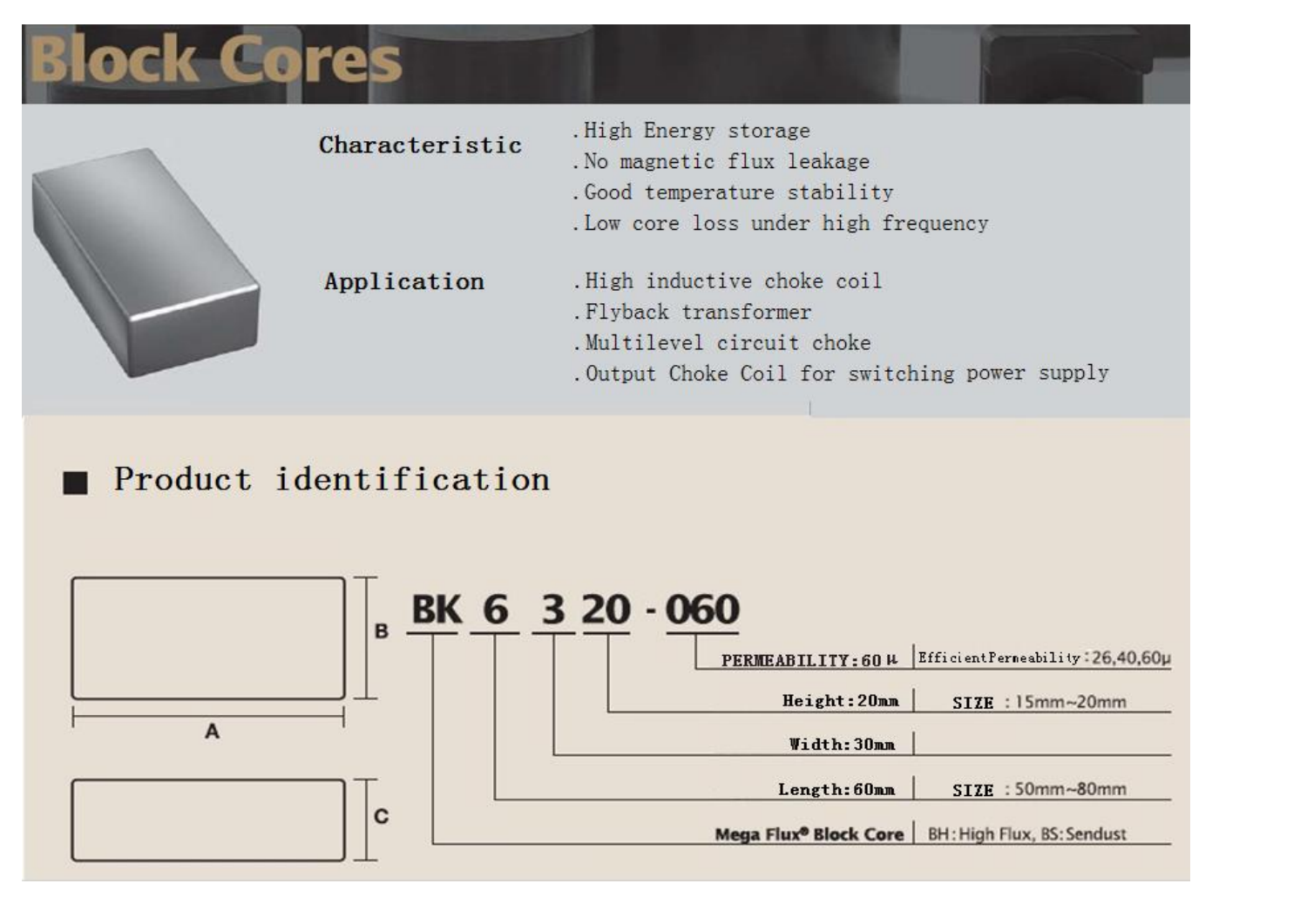# **Block Cores**

| Characteristic | .High Energy storage<br>. No magnetic flux leakage<br>. Good temperature stability<br>. Low core loss under high frequency           |
|----------------|--------------------------------------------------------------------------------------------------------------------------------------|
| Application    | . High inductive choke coil<br>. Flyback transformer<br>. Multilevel circuit choke<br>. Output Choke Coil for switching power supply |
|                |                                                                                                                                      |

## Product identification

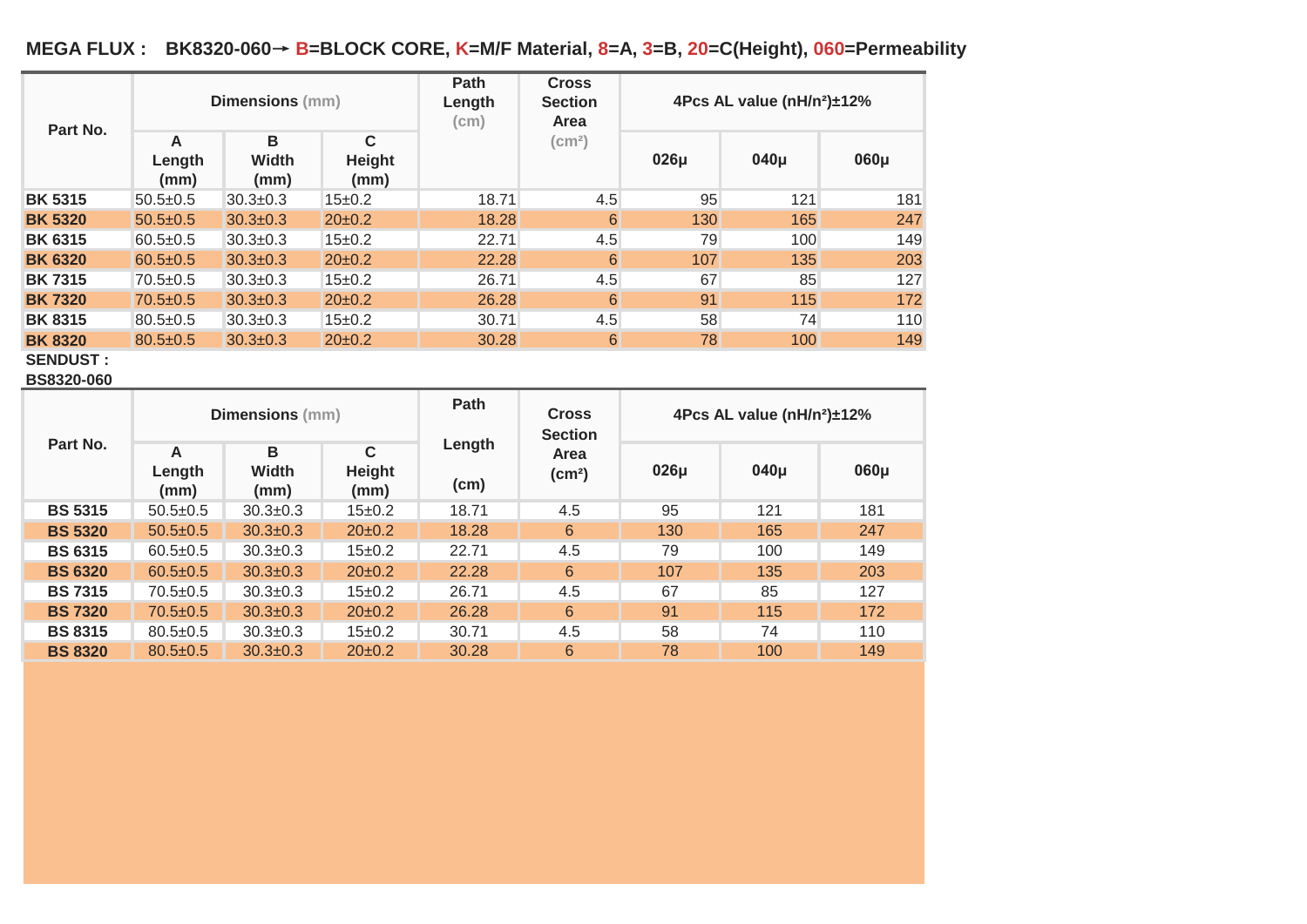### **MEGA FLUX : BK8320-060**→ **B=BLOCK CORE, K=M/F Material, 8=A, 3=B, 20=C(Height), 060=Permeability**

| Part No.       | <b>Dimensions</b> (mm) |                           |                     | <b>Path</b><br>Length<br>(cm) | <b>Cross</b><br><b>Section</b><br>Area | 4Pcs AL value (nH/n <sup>2</sup> )±12% |          |      |  |
|----------------|------------------------|---------------------------|---------------------|-------------------------------|----------------------------------------|----------------------------------------|----------|------|--|
|                | A<br>Length<br>(mm)    | B<br><b>Width</b><br>(mm) | C<br>Height<br>(mm) |                               | (cm <sup>2</sup> )                     | $026\mu$                               | $040\mu$ | 060µ |  |
| <b>BK 5315</b> | $50.5 \pm 0.5$         | $30.3 \pm 0.3$            | $15+0.2$            | 18.71                         | 4.5                                    | 95                                     | 121      | 181  |  |
| <b>BK 5320</b> | $50.5 \pm 0.5$         | $30.3 \pm 0.3$            | $20 \pm 0.2$        | 18.28                         | 6                                      | 130                                    | 165      | 247  |  |
| <b>BK 6315</b> | $60.5 \pm 0.5$         | $30.3 \pm 0.3$            | $15 \pm 0.2$        | 22.71                         | 4.5                                    | 79                                     | 100      | 149  |  |
| <b>BK 6320</b> | $60.5 \pm 0.5$         | $30.3 \pm 0.3$            | $20 \pm 0.2$        | 22.28                         | 6                                      | 107                                    | 135      | 203  |  |
| <b>BK7315</b>  | $70.5 \pm 0.5$         | $30.3 \pm 0.3$            | $15 \pm 0.2$        | 26.71                         | 4.5                                    | 67                                     | 85       | 127  |  |
| <b>BK7320</b>  | $70.5 \pm 0.5$         | $30.3 \pm 0.3$            | $20 \pm 0.2$        | 26.28                         | 6                                      | 91                                     | 115      | 172  |  |
| <b>BK 8315</b> | $80.5 \pm 0.5$         | $30.3 \pm 0.3$            | $15 \pm 0.2$        | 30.71                         | 4.5                                    | 58                                     | 74       | 110  |  |
| <b>BK8320</b>  | $80.5 \pm 0.5$         | $30.3 \pm 0.3$            | $20 \pm 0.2$        | 30.28                         | 6                                      | 78                                     | 100      | 149  |  |

**SENDUST :**

**BS8320-060**

|                | <b>Dimensions</b> (mm) |                           |                               | Path           | <b>Cross</b><br><b>Section</b> | 4Pcs AL value (nH/n <sup>2</sup> )±12% |          |      |
|----------------|------------------------|---------------------------|-------------------------------|----------------|--------------------------------|----------------------------------------|----------|------|
| Part No.       | A<br>Length<br>(mm)    | B<br><b>Width</b><br>(mm) | $\mathbf C$<br>Height<br>(mm) | Length<br>(cm) | Area<br>(cm <sup>2</sup> )     | $026\mu$                               | $040\mu$ | 060µ |
| <b>BS 5315</b> | $50.5+0.5$             | $30.3 \pm 0.3$            | $15 \pm 0.2$                  | 18.71          | 4.5                            | 95                                     | 121      | 181  |
| <b>BS 5320</b> | $50.5 \pm 0.5$         | $30.3 \pm 0.3$            | $20 \pm 0.2$                  | 18.28          | 6                              | 130                                    | 165      | 247  |
| <b>BS 6315</b> | $60.5 \pm 0.5$         | $30.3 \pm 0.3$            | $15 \pm 0.2$                  | 22.71          | 4.5                            | 79                                     | 100      | 149  |
| <b>BS 6320</b> | $60.5 \pm 0.5$         | $30.3 \pm 0.3$            | $20\pm0.2$                    | 22.28          | 6                              | 107                                    | 135      | 203  |
| <b>BS 7315</b> | $70.5 \pm 0.5$         | $30.3 \pm 0.3$            | $15 \pm 0.2$                  | 26.71          | 4.5                            | 67                                     | 85       | 127  |
| <b>BS 7320</b> | $70.5 \pm 0.5$         | $30.3 \pm 0.3$            | $20\pm0.2$                    | 26.28          | 6                              | 91                                     | 115      | 172  |
| <b>BS 8315</b> | $80.5 \pm 0.5$         | $30.3 \pm 0.3$            | $15 \pm 0.2$                  | 30.71          | 4.5                            | 58                                     | 74       | 110  |
| <b>BS 8320</b> | $80.5 \pm 0.5$         | $30.3 \pm 0.3$            | $20\pm0.2$                    | 30.28          | 6                              | 78                                     | 100      | 149  |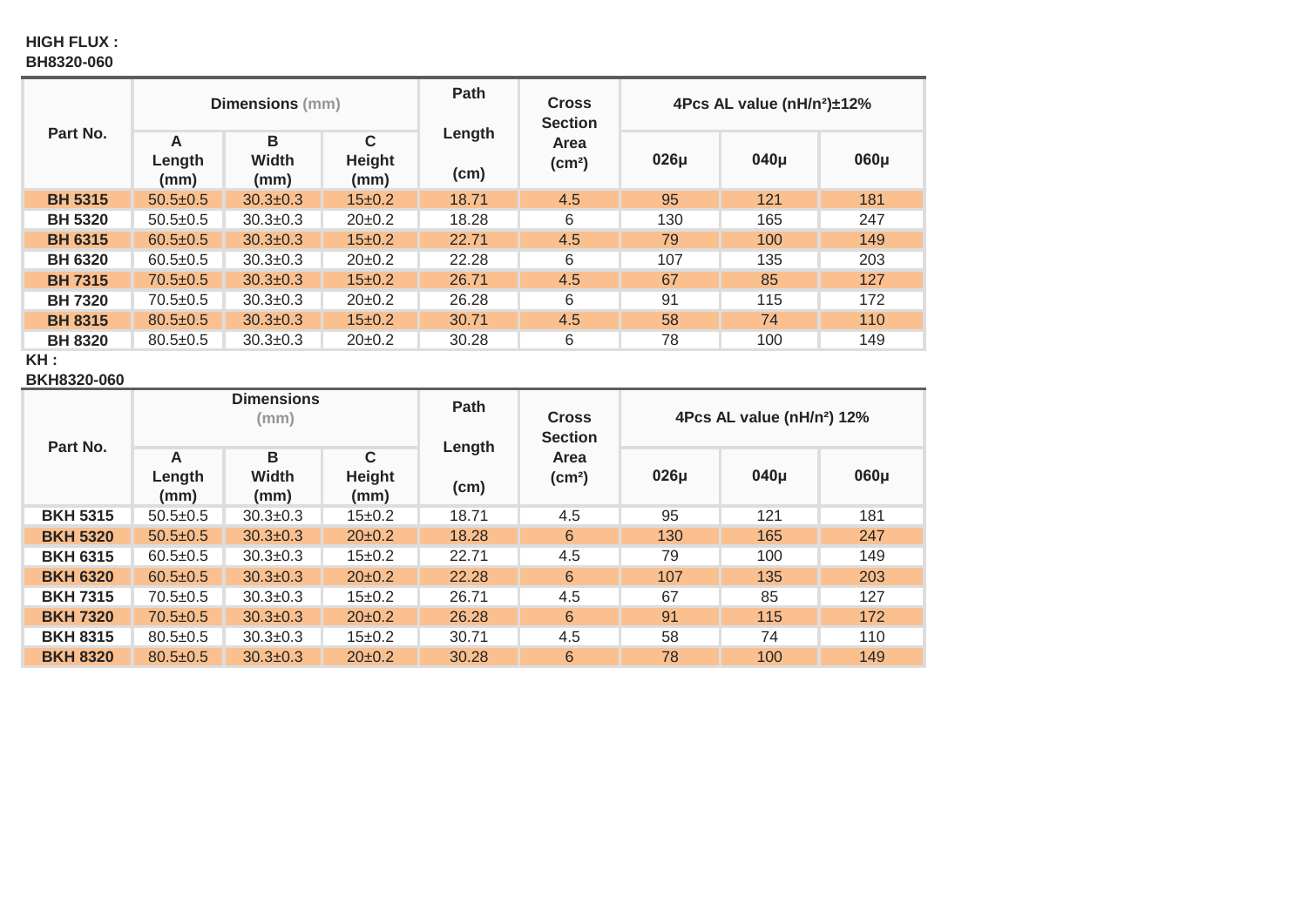#### **HIGH FLUX : BH8320-060**

| Part No.       | <b>Dimensions</b> (mm)           |                           |                     | Path           | <b>Cross</b><br><b>Section</b> | 4Pcs AL value (nH/n <sup>2</sup> )±12% |          |      |  |
|----------------|----------------------------------|---------------------------|---------------------|----------------|--------------------------------|----------------------------------------|----------|------|--|
|                | $\overline{A}$<br>Length<br>(mm) | B<br><b>Width</b><br>(mm) | C<br>Height<br>(mm) | Length<br>(cm) | Area<br>(cm <sup>2</sup> )     | $026\mu$                               | $040\mu$ | 060µ |  |
| <b>BH 5315</b> | $50.5 \pm 0.5$                   | $30.3 \pm 0.3$            | 15±0.2              | 18.71          | 4.5                            | 95                                     | 121      | 181  |  |
| <b>BH 5320</b> | $50.5+0.5$                       | $30.3 \pm 0.3$            | $20 \pm 0.2$        | 18.28          | 6                              | 130                                    | 165      | 247  |  |
| <b>BH 6315</b> | $60.5 \pm 0.5$                   | $30.3 \pm 0.3$            | 15±0.2              | 22.71          | 4.5                            | 79                                     | 100      | 149  |  |
| <b>BH 6320</b> | $60.5 \pm 0.5$                   | $30.3 \pm 0.3$            | $20 \pm 0.2$        | 22.28          | 6                              | 107                                    | 135      | 203  |  |
| <b>BH 7315</b> | $70.5 \pm 0.5$                   | $30.3 \pm 0.3$            | $15 \pm 0.2$        | 26.71          | 4.5                            | 67                                     | 85       | 127  |  |
| <b>BH 7320</b> | $70.5 \pm 0.5$                   | $30.3 \pm 0.3$            | $20\pm0.2$          | 26.28          | 6                              | 91                                     | 115      | 172  |  |
| <b>BH 8315</b> | $80.5 \pm 0.5$                   | $30.3 \pm 0.3$            | 15±0.2              | 30.71          | 4.5                            | 58                                     | 74       | 110  |  |
| <b>BH 8320</b> | $80.5 \pm 0.5$                   | $30.3 \pm 0.3$            | $20\pm0.2$          | 30.28          | 6                              | 78                                     | 100      | 149  |  |

**KH :**

**BKH8320-060**

|                 | <b>Dimensions</b><br>(mm) |                    |                               | Path           | <b>Cross</b>                                 | 4Pcs AL value (nH/n <sup>2</sup> ) 12% |          |          |  |
|-----------------|---------------------------|--------------------|-------------------------------|----------------|----------------------------------------------|----------------------------------------|----------|----------|--|
| Part No.        | A<br>Length<br>(mm)       | В<br>Width<br>(mm) | $\mathbf C$<br>Height<br>(mm) | Length<br>(cm) | <b>Section</b><br>Area<br>(cm <sup>2</sup> ) | $026\mu$                               | $040\mu$ | $060\mu$ |  |
| <b>BKH 5315</b> | $50.5 \pm 0.5$            | $30.3 \pm 0.3$     | $15 \pm 0.2$                  | 18.71          | 4.5                                          | 95                                     | 121      | 181      |  |
| <b>BKH 5320</b> | $50.5 \pm 0.5$            | $30.3 \pm 0.3$     | $20\pm0.2$                    | 18.28          | 6                                            | 130                                    | 165      | 247      |  |
| <b>BKH 6315</b> | $60.5 \pm 0.5$            | $30.3 \pm 0.3$     | $15 \pm 0.2$                  | 22.71          | 4.5                                          | 79                                     | 100      | 149      |  |
| <b>BKH 6320</b> | $60.5 \pm 0.5$            | $30.3 \pm 0.3$     | $20\pm0.2$                    | 22.28          | 6                                            | 107                                    | 135      | 203      |  |
| <b>BKH 7315</b> | $70.5 \pm 0.5$            | $30.3 \pm 0.3$     | $15 \pm 0.2$                  | 26.71          | 4.5                                          | 67                                     | 85       | 127      |  |
| <b>BKH 7320</b> | $70.5 \pm 0.5$            | $30.3 \pm 0.3$     | $20\pm0.2$                    | 26.28          | 6                                            | 91                                     | 115      | 172      |  |
| <b>BKH 8315</b> | $80.5 \pm 0.5$            | $30.3 \pm 0.3$     | $15 \pm 0.2$                  | 30.71          | 4.5                                          | 58                                     | 74       | 110      |  |
| <b>BKH 8320</b> | $80.5 \pm 0.5$            | $30.3 \pm 0.3$     | $20\pm0.2$                    | 30.28          | 6                                            | 78                                     | 100      | 149      |  |